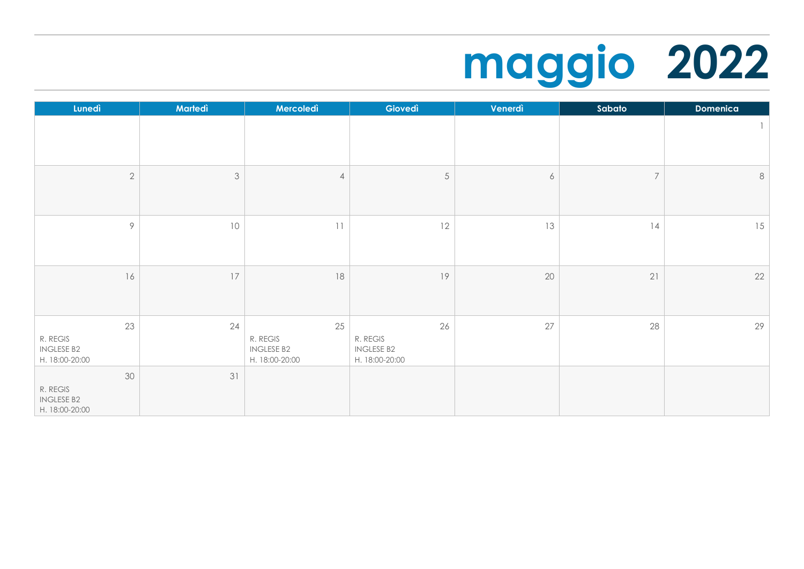## **maggio 2022**

| Lunedì                                                | Martedì                   | Mercoledì                                             | Giovedì                                               | Venerdì          | Sabato         | <b>Domenica</b> |
|-------------------------------------------------------|---------------------------|-------------------------------------------------------|-------------------------------------------------------|------------------|----------------|-----------------|
|                                                       |                           |                                                       |                                                       |                  |                | $\mathbb{I}$    |
| $\overline{2}$                                        | $\ensuremath{\mathsf{3}}$ | $\overline{4}$                                        | $5\,$                                                 | $\boldsymbol{6}$ | $\overline{7}$ | $\,8\,$         |
| 9                                                     | 10                        | 11                                                    | 12                                                    | 13               | 14             | 15              |
| 16                                                    | $17$                      | $18\,$                                                | 19                                                    | 20               | 21             | 22              |
| 23<br>R. REGIS<br><b>INGLESE B2</b><br>H. 18:00-20:00 | 24                        | 25<br>R. REGIS<br><b>INGLESE B2</b><br>H. 18:00-20:00 | 26<br>R. REGIS<br><b>INGLESE B2</b><br>H. 18:00-20:00 | 27               | 28             | 29              |
| 30<br>R. REGIS<br><b>INGLESE B2</b><br>H. 18:00-20:00 | 31                        |                                                       |                                                       |                  |                |                 |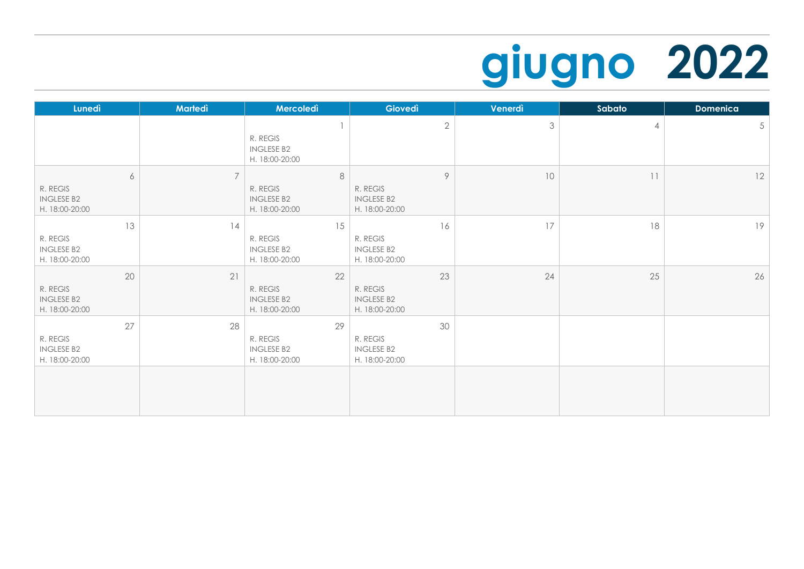## **giugno 2022**

| Lunedì                                                | Martedì        | Mercoledì                                             | Giovedì                                               | Venerdì        | Sabato         | <b>Domenica</b> |
|-------------------------------------------------------|----------------|-------------------------------------------------------|-------------------------------------------------------|----------------|----------------|-----------------|
|                                                       |                | R. REGIS<br><b>INGLESE B2</b><br>H. 18:00-20:00       | $\sqrt{2}$                                            | $\mathfrak{Z}$ | $\overline{4}$ | $5\phantom{.0}$ |
| 6<br>R. REGIS<br><b>INGLESE B2</b><br>H. 18:00-20:00  | $\overline{7}$ | 8<br>R. REGIS<br><b>INGLESE B2</b><br>H. 18:00-20:00  | 9<br>R. REGIS<br><b>INGLESE B2</b><br>H. 18:00-20:00  | 10             | 11             | 12              |
| 13<br>R. REGIS<br><b>INGLESE B2</b><br>H. 18:00-20:00 | 14             | 15<br>R. REGIS<br><b>INGLESE B2</b><br>H. 18:00-20:00 | 16<br>R. REGIS<br><b>INGLESE B2</b><br>H. 18:00-20:00 | 17             | 18             | 19              |
| 20<br>R. REGIS<br><b>INGLESE B2</b><br>H. 18:00-20:00 | 21             | 22<br>R. REGIS<br><b>INGLESE B2</b><br>H. 18:00-20:00 | 23<br>R. REGIS<br><b>INGLESE B2</b><br>H. 18:00-20:00 | 24             | 25             | 26              |
| 27<br>R. REGIS<br><b>INGLESE B2</b><br>H. 18:00-20:00 | 28             | 29<br>R. REGIS<br><b>INGLESE B2</b><br>H. 18:00-20:00 | 30<br>R. REGIS<br><b>INGLESE B2</b><br>H. 18:00-20:00 |                |                |                 |
|                                                       |                |                                                       |                                                       |                |                |                 |